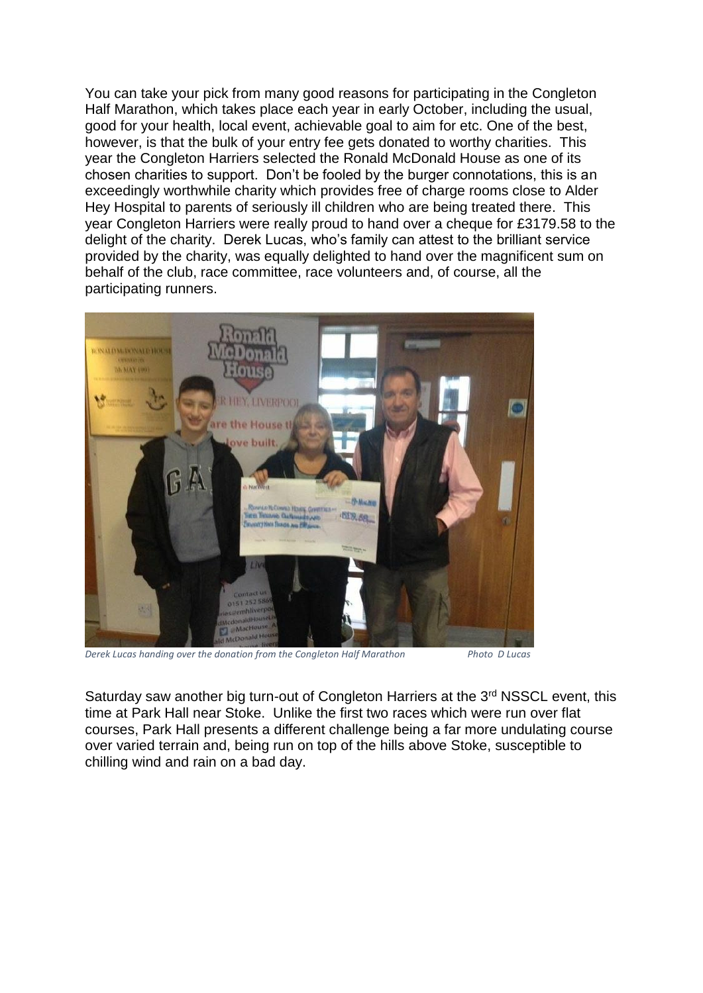You can take your pick from many good reasons for participating in the Congleton Half Marathon, which takes place each year in early October, including the usual, good for your health, local event, achievable goal to aim for etc. One of the best, however, is that the bulk of your entry fee gets donated to worthy charities. This year the Congleton Harriers selected the Ronald McDonald House as one of its chosen charities to support. Don't be fooled by the burger connotations, this is an exceedingly worthwhile charity which provides free of charge rooms close to Alder Hey Hospital to parents of seriously ill children who are being treated there. This year Congleton Harriers were really proud to hand over a cheque for £3179.58 to the delight of the charity. Derek Lucas, who's family can attest to the brilliant service provided by the charity, was equally delighted to hand over the magnificent sum on behalf of the club, race committee, race volunteers and, of course, all the participating runners.



*Derek Lucas handing over the donation from the Congleton Half Marathon Photo D Lucas*

Saturday saw another big turn-out of Congleton Harriers at the 3<sup>rd</sup> NSSCL event, this time at Park Hall near Stoke. Unlike the first two races which were run over flat courses, Park Hall presents a different challenge being a far more undulating course over varied terrain and, being run on top of the hills above Stoke, susceptible to chilling wind and rain on a bad day.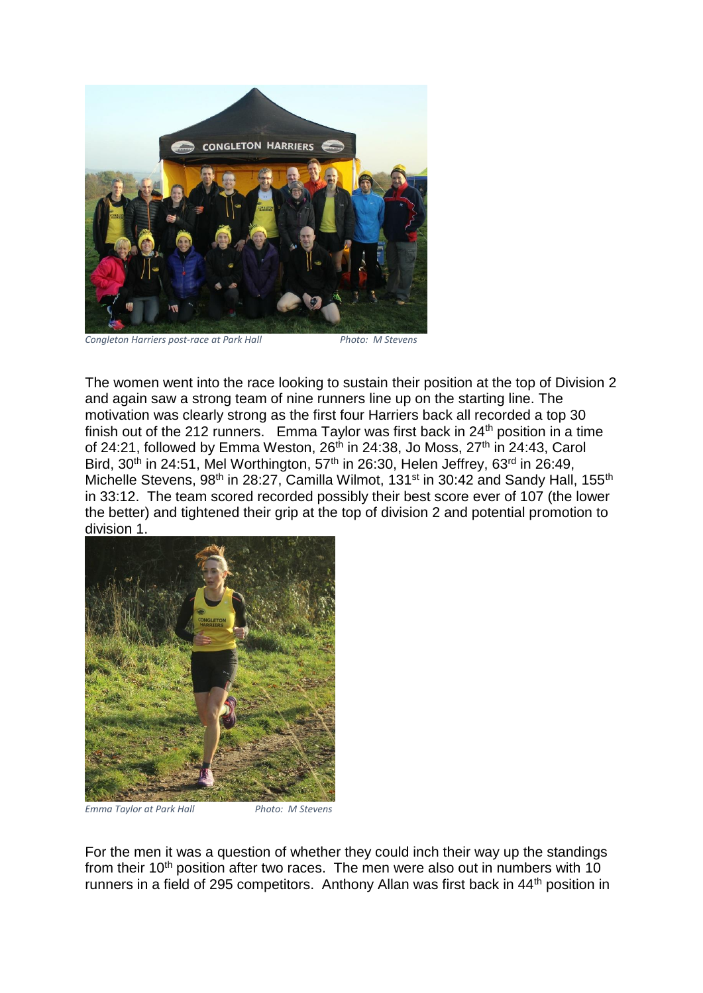

*Congleton Harriers post-race at Park Hall Photo: M Stevens*

The women went into the race looking to sustain their position at the top of Division 2 and again saw a strong team of nine runners line up on the starting line. The motivation was clearly strong as the first four Harriers back all recorded a top 30 finish out of the 212 runners. Emma Taylor was first back in  $24<sup>th</sup>$  position in a time of 24:21, followed by Emma Weston,  $26<sup>th</sup>$  in 24:38, Jo Moss,  $27<sup>th</sup>$  in 24:43, Carol Bird,  $30<sup>th</sup>$  in 24:51, Mel Worthington,  $57<sup>th</sup>$  in 26:30, Helen Jeffrey,  $63<sup>rd</sup>$  in 26:49, Michelle Stevens, 98<sup>th</sup> in 28:27, Camilla Wilmot, 131<sup>st</sup> in 30:42 and Sandy Hall, 155<sup>th</sup> in 33:12. The team scored recorded possibly their best score ever of 107 (the lower the better) and tightened their grip at the top of division 2 and potential promotion to division 1.



*Emma Taylor at Park Hall Photo: M Stevens*

For the men it was a question of whether they could inch their way up the standings from their 10<sup>th</sup> position after two races. The men were also out in numbers with 10 runners in a field of 295 competitors. Anthony Allan was first back in 44th position in